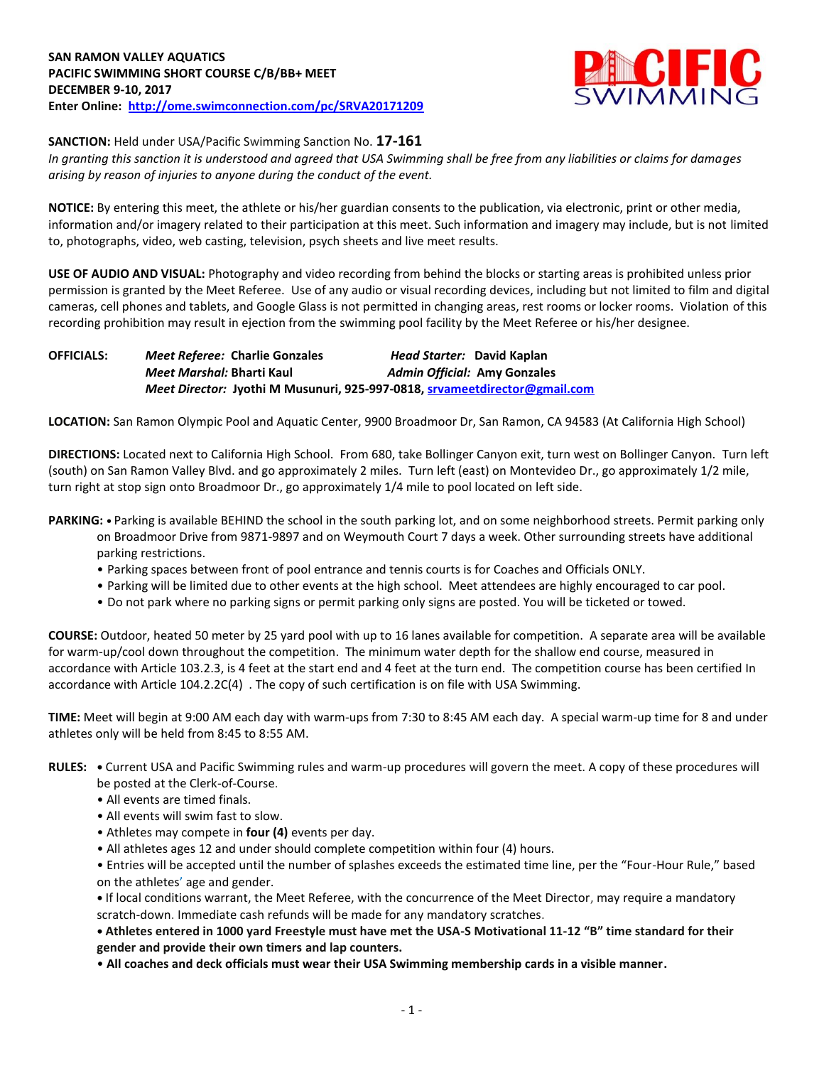

**SANCTION:** Held under USA/Pacific Swimming Sanction No. **17-161**

*In granting this sanction it is understood and agreed that USA Swimming shall be free from any liabilities or claims for damages arising by reason of injuries to anyone during the conduct of the event.*

**NOTICE:** By entering this meet, the athlete or his/her guardian consents to the publication, via electronic, print or other media, information and/or imagery related to their participation at this meet. Such information and imagery may include, but is not limited to, photographs, video, web casting, television, psych sheets and live meet results.

**USE OF AUDIO AND VISUAL:** Photography and video recording from behind the blocks or starting areas is prohibited unless prior permission is granted by the Meet Referee. Use of any audio or visual recording devices, including but not limited to film and digital cameras, cell phones and tablets, and Google Glass is not permitted in changing areas, rest rooms or locker rooms. Violation of this recording prohibition may result in ejection from the swimming pool facility by the Meet Referee or his/her designee.

**OFFICIALS:** *Meet Referee:* **Charlie Gonzales** *Head Starter:* **David Kaplan** *Meet Marshal:* **Bharti Kaul** *Admin Official:* **Amy Gonzales** *Meet Director:* **Jyothi M Musunuri, 925-997-0818, [srvameetdirector@gmail.com](mailto:srvameetdirector@gmail.com)**

**LOCATION:** San Ramon Olympic Pool and Aquatic Center, 9900 Broadmoor Dr, San Ramon, CA 94583 (At California High School)

**DIRECTIONS:** Located next to California High School. From 680, take Bollinger Canyon exit, turn west on Bollinger Canyon. Turn left (south) on San Ramon Valley Blvd. and go approximately 2 miles. Turn left (east) on Montevideo Dr., go approximately 1/2 mile, turn right at stop sign onto Broadmoor Dr., go approximately 1/4 mile to pool located on left side.

- **PARKING:** Parking is available BEHIND the school in the south parking lot, and on some neighborhood streets. Permit parking only on Broadmoor Drive from 9871-9897 and on Weymouth Court 7 days a week. Other surrounding streets have additional parking restrictions.
	- Parking spaces between front of pool entrance and tennis courts is for Coaches and Officials ONLY.
	- Parking will be limited due to other events at the high school. Meet attendees are highly encouraged to car pool.
	- Do not park where no parking signs or permit parking only signs are posted. You will be ticketed or towed.

**COURSE:** Outdoor, heated 50 meter by 25 yard pool with up to 16 lanes available for competition. A separate area will be available for warm-up/cool down throughout the competition. The minimum water depth for the shallow end course, measured in accordance with Article 103.2.3, is 4 feet at the start end and 4 feet at the turn end. The competition course has been certified In accordance with Article 104.2.2C(4) . The copy of such certification is on file with USA Swimming.

**TIME:** Meet will begin at 9:00 AM each day with warm-ups from 7:30 to 8:45 AM each day. A special warm-up time for 8 and under athletes only will be held from 8:45 to 8:55 AM.

- **RULES:** Current USA and Pacific Swimming rules and warm-up procedures will govern the meet. A copy of these procedures will be posted at the Clerk-of-Course.
	- All events are timed finals.
	- All events will swim fast to slow.
	- Athletes may compete in **four (4)** events per day.
	- All athletes ages 12 and under should complete competition within four (4) hours.
	- Entries will be accepted until the number of splashes exceeds the estimated time line, per the "Four-Hour Rule," based on the athletes' age and gender.

**•** If local conditions warrant, the Meet Referee, with the concurrence of the Meet Director, may require a mandatory scratch-down. Immediate cash refunds will be made for any mandatory scratches.

**• Athletes entered in 1000 yard Freestyle must have met the USA-S Motivational 11-12 "B" time standard for their gender and provide their own timers and lap counters.**

• **All coaches and deck officials must wear their USA Swimming membership cards in a visible manner.**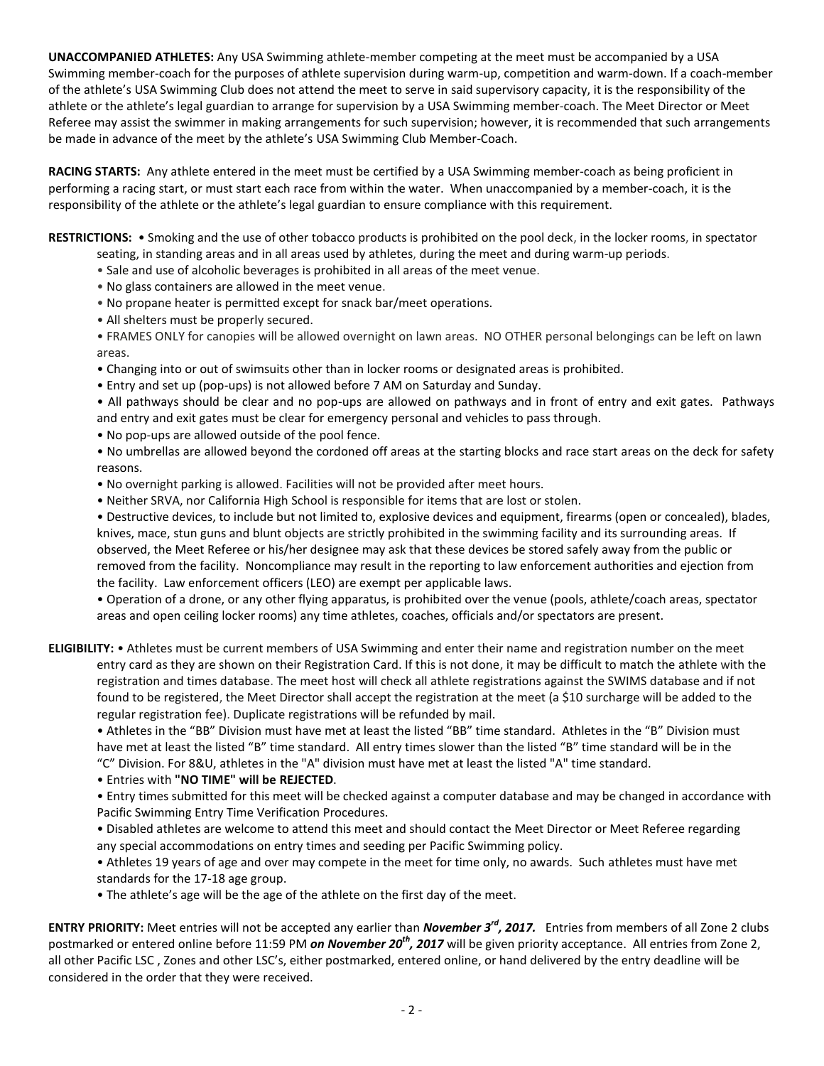**UNACCOMPANIED ATHLETES:** Any USA Swimming athlete-member competing at the meet must be accompanied by a USA Swimming member-coach for the purposes of athlete supervision during warm-up, competition and warm-down. If a coach-member of the athlete's USA Swimming Club does not attend the meet to serve in said supervisory capacity, it is the responsibility of the athlete or the athlete's legal guardian to arrange for supervision by a USA Swimming member-coach. The Meet Director or Meet Referee may assist the swimmer in making arrangements for such supervision; however, it is recommended that such arrangements be made in advance of the meet by the athlete's USA Swimming Club Member-Coach.

**RACING STARTS:** Any athlete entered in the meet must be certified by a USA Swimming member-coach as being proficient in performing a racing start, or must start each race from within the water. When unaccompanied by a member-coach, it is the responsibility of the athlete or the athlete's legal guardian to ensure compliance with this requirement.

**RESTRICTIONS:** • Smoking and the use of other tobacco products is prohibited on the pool deck, in the locker rooms, in spectator seating, in standing areas and in all areas used by athletes, during the meet and during warm-up periods.

- Sale and use of alcoholic beverages is prohibited in all areas of the meet venue.
- No glass containers are allowed in the meet venue.
- No propane heater is permitted except for snack bar/meet operations.
- All shelters must be properly secured.
- FRAMES ONLY for canopies will be allowed overnight on lawn areas. NO OTHER personal belongings can be left on lawn areas.
- Changing into or out of swimsuits other than in locker rooms or designated areas is prohibited.
- Entry and set up (pop-ups) is not allowed before 7 AM on Saturday and Sunday.
- All pathways should be clear and no pop-ups are allowed on pathways and in front of entry and exit gates. Pathways and entry and exit gates must be clear for emergency personal and vehicles to pass through.
- No pop-ups are allowed outside of the pool fence.

• No umbrellas are allowed beyond the cordoned off areas at the starting blocks and race start areas on the deck for safety reasons.

- No overnight parking is allowed. Facilities will not be provided after meet hours.
- Neither SRVA, nor California High School is responsible for items that are lost or stolen.

• Destructive devices, to include but not limited to, explosive devices and equipment, firearms (open or concealed), blades, knives, mace, stun guns and blunt objects are strictly prohibited in the swimming facility and its surrounding areas. If observed, the Meet Referee or his/her designee may ask that these devices be stored safely away from the public or removed from the facility. Noncompliance may result in the reporting to law enforcement authorities and ejection from the facility. Law enforcement officers (LEO) are exempt per applicable laws.

• Operation of a drone, or any other flying apparatus, is prohibited over the venue (pools, athlete/coach areas, spectator areas and open ceiling locker rooms) any time athletes, coaches, officials and/or spectators are present.

**ELIGIBILITY:** • Athletes must be current members of USA Swimming and enter their name and registration number on the meet entry card as they are shown on their Registration Card. If this is not done, it may be difficult to match the athlete with the registration and times database. The meet host will check all athlete registrations against the SWIMS database and if not found to be registered, the Meet Director shall accept the registration at the meet (a \$10 surcharge will be added to the regular registration fee). Duplicate registrations will be refunded by mail.

• Athletes in the "BB" Division must have met at least the listed "BB" time standard. Athletes in the "B" Division must have met at least the listed "B" time standard. All entry times slower than the listed "B" time standard will be in the "C" Division. For 8&U, athletes in the "A" division must have met at least the listed "A" time standard.

• Entries with **"NO TIME" will be REJECTED**.

• Entry times submitted for this meet will be checked against a computer database and may be changed in accordance with Pacific Swimming Entry Time Verification Procedures.

• Disabled athletes are welcome to attend this meet and should contact the Meet Director or Meet Referee regarding any special accommodations on entry times and seeding per Pacific Swimming policy.

• Athletes 19 years of age and over may compete in the meet for time only, no awards. Such athletes must have met standards for the 17-18 age group.

• The athlete's age will be the age of the athlete on the first day of the meet.

**ENTRY PRIORITY:** Meet entries will not be accepted any earlier than *November 3rd, 2017.* Entries from members of all Zone 2 clubs postmarked or entered online before 11:59 PM *on November 20th, 2017* will be given priority acceptance. All entries from Zone 2, all other Pacific LSC , Zones and other LSC's, either postmarked, entered online, or hand delivered by the entry deadline will be considered in the order that they were received.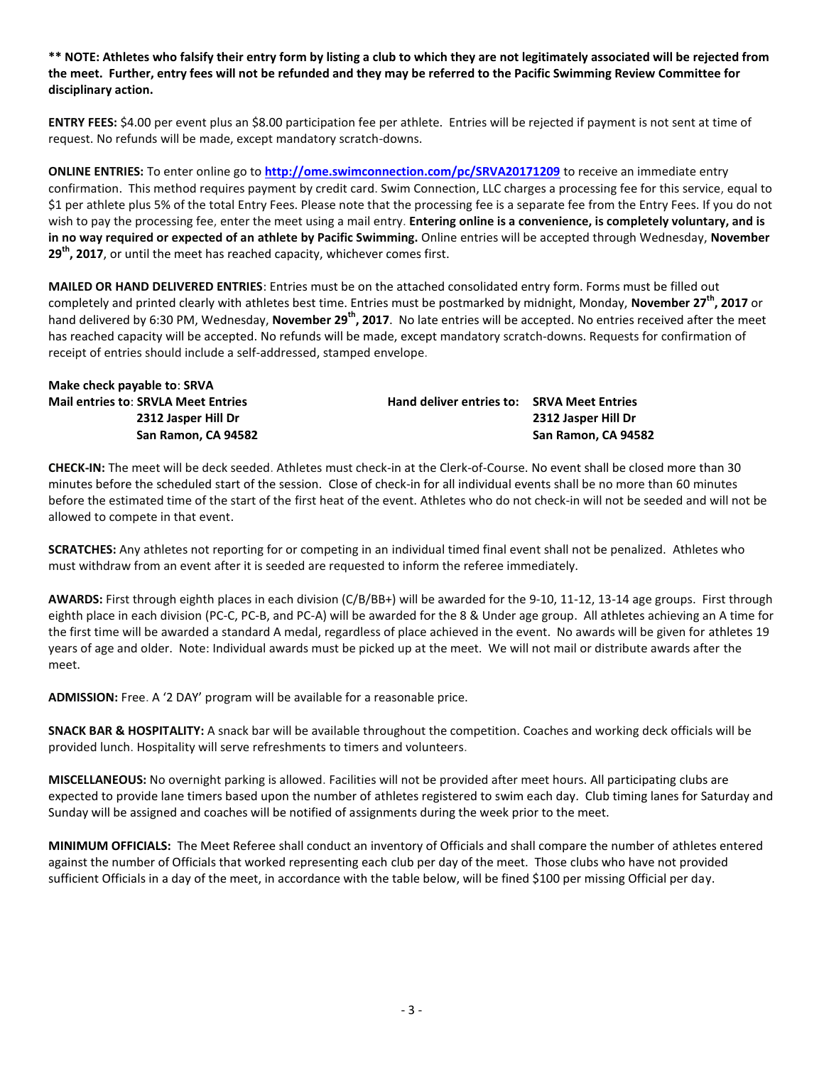**\*\* NOTE: Athletes who falsify their entry form by listing a club to which they are not legitimately associated will be rejected from the meet. Further, entry fees will not be refunded and they may be referred to the Pacific Swimming Review Committee for disciplinary action.**

**ENTRY FEES:** \$4.00 per event plus an \$8.00 participation fee per athlete. Entries will be rejected if payment is not sent at time of request. No refunds will be made, except mandatory scratch-downs.

**ONLINE ENTRIES:** To enter online go to **<http://ome.swimconnection.com/pc/SRVA20171209>** to receive an immediate entry confirmation. This method requires payment by credit card. Swim Connection, LLC charges a processing fee for this service, equal to \$1 per athlete plus 5% of the total Entry Fees. Please note that the processing fee is a separate fee from the Entry Fees. If you do not wish to pay the processing fee, enter the meet using a mail entry. **Entering online is a convenience, is completely voluntary, and is in no way required or expected of an athlete by Pacific Swimming.** Online entries will be accepted through Wednesday, **November 29th, 2017**, or until the meet has reached capacity, whichever comes first.

**MAILED OR HAND DELIVERED ENTRIES**: Entries must be on the attached consolidated entry form. Forms must be filled out completely and printed clearly with athletes best time. Entries must be postmarked by midnight, Monday, **November 27th, 2017** or hand delivered by 6:30 PM, Wednesday, **November 29th, 2017**. No late entries will be accepted. No entries received after the meet has reached capacity will be accepted. No refunds will be made, except mandatory scratch-downs. Requests for confirmation of receipt of entries should include a self-addressed, stamped envelope.

| Make check payable to: SRVA                                       |                                            |                     |
|-------------------------------------------------------------------|--------------------------------------------|---------------------|
| <b>Mail entries to: SRVLA Meet Entries</b><br>2312 Jasper Hill Dr | Hand deliver entries to: SRVA Meet Entries | 2312 Jasper Hill Dr |
| San Ramon, CA 94582                                               |                                            | San Ramon, CA 94582 |

**CHECK-IN:** The meet will be deck seeded. Athletes must check-in at the Clerk-of-Course. No event shall be closed more than 30 minutes before the scheduled start of the session. Close of check-in for all individual events shall be no more than 60 minutes before the estimated time of the start of the first heat of the event. Athletes who do not check-in will not be seeded and will not be allowed to compete in that event.

**SCRATCHES:** Any athletes not reporting for or competing in an individual timed final event shall not be penalized. Athletes who must withdraw from an event after it is seeded are requested to inform the referee immediately.

**AWARDS:** First through eighth places in each division (C/B/BB+) will be awarded for the 9-10, 11-12, 13-14 age groups. First through eighth place in each division (PC-C, PC-B, and PC-A) will be awarded for the 8 & Under age group. All athletes achieving an A time for the first time will be awarded a standard A medal, regardless of place achieved in the event. No awards will be given for athletes 19 years of age and older. Note: Individual awards must be picked up at the meet. We will not mail or distribute awards after the meet.

**ADMISSION:** Free. A '2 DAY' program will be available for a reasonable price.

**SNACK BAR & HOSPITALITY:** A snack bar will be available throughout the competition. Coaches and working deck officials will be provided lunch. Hospitality will serve refreshments to timers and volunteers.

**MISCELLANEOUS:** No overnight parking is allowed. Facilities will not be provided after meet hours. All participating clubs are expected to provide lane timers based upon the number of athletes registered to swim each day. Club timing lanes for Saturday and Sunday will be assigned and coaches will be notified of assignments during the week prior to the meet.

**MINIMUM OFFICIALS:** The Meet Referee shall conduct an inventory of Officials and shall compare the number of athletes entered against the number of Officials that worked representing each club per day of the meet. Those clubs who have not provided sufficient Officials in a day of the meet, in accordance with the table below, will be fined \$100 per missing Official per day.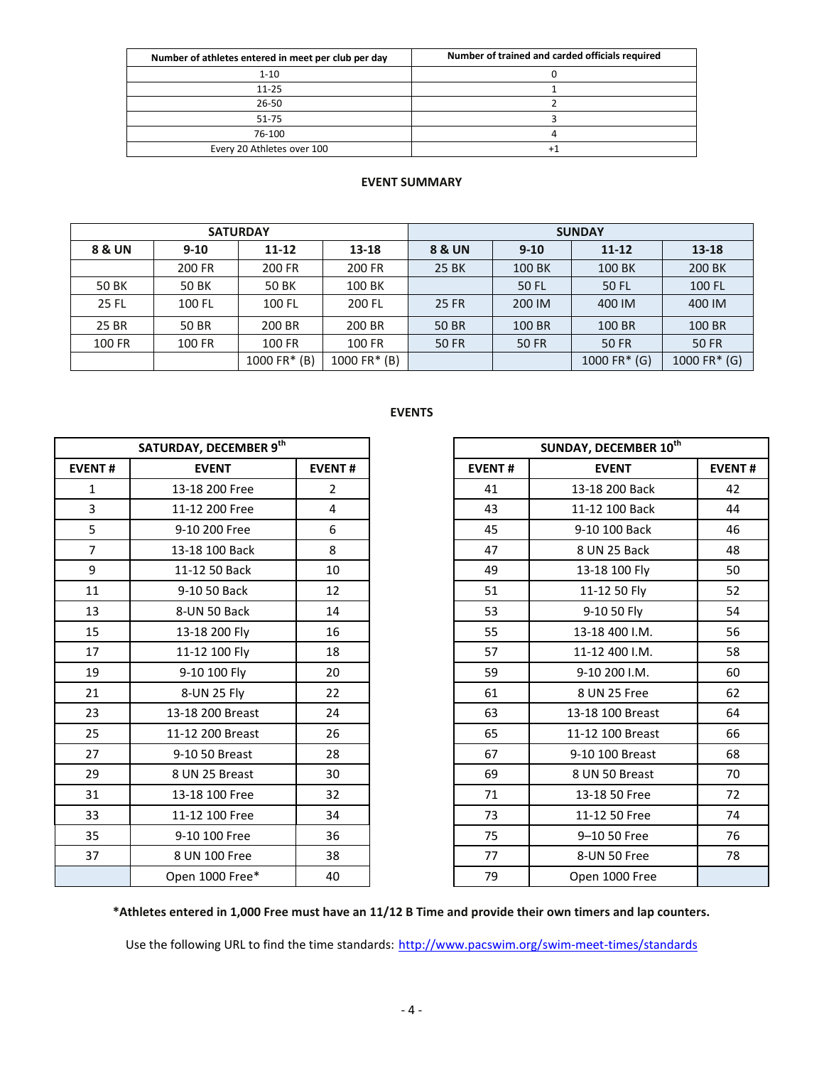| Number of athletes entered in meet per club per day | Number of trained and carded officials required |
|-----------------------------------------------------|-------------------------------------------------|
| $1 - 10$                                            |                                                 |
| $11 - 25$                                           |                                                 |
| 26-50                                               |                                                 |
| 51-75                                               |                                                 |
| 76-100                                              |                                                 |
| Every 20 Athletes over 100                          |                                                 |

## **EVENT SUMMARY**

|              |          | <b>SATURDAY</b> |              | <b>SUNDAY</b>     |              |                 |              |  |  |
|--------------|----------|-----------------|--------------|-------------------|--------------|-----------------|--------------|--|--|
| 8 & UN       | $9 - 10$ | $11 - 12$       | 13-18        | <b>8 &amp; UN</b> | $9 - 10$     |                 | $13 - 18$    |  |  |
|              | 200 FR   | 200 FR          | 200 FR       | 25 BK             | 100 BK       | 100 BK          | 200 BK       |  |  |
| 50 BK        | 50 BK    | 50 BK           | 100 BK       |                   | 50 FL        | <b>50 FL</b>    | 100 FL       |  |  |
| <b>25 FL</b> | 100 FL   | 100 FL          | 200 FL       | 25 FR             | 200 IM       | 400 IM          | 400 IM       |  |  |
| 25 BR        | 50 BR    | 200 BR          | 200 BR       | <b>50 BR</b>      | 100 BR       | 100 BR          | 100 BR       |  |  |
| 100 FR       | 100 FR   | 100 FR          | 100 FR       | 50 FR             | <b>50 FR</b> | <b>50 FR</b>    | <b>50 FR</b> |  |  |
|              |          | 1000 FR* (B)    | 1000 FR* (B) |                   |              | 1000 FR $*$ (G) | 1000 FR* (G) |  |  |

|                | SATURDAY, DECEMBER 9th |                |               | SUNDAY, DECEMBER 10 <sup>th</sup> |               |
|----------------|------------------------|----------------|---------------|-----------------------------------|---------------|
| <b>EVENT#</b>  | <b>EVENT</b>           | <b>EVENT#</b>  | <b>EVENT#</b> | <b>EVENT</b>                      | <b>EVENT#</b> |
| $\mathbf{1}$   | 13-18 200 Free         | $\overline{2}$ | 41            | 13-18 200 Back                    |               |
| $\overline{3}$ | 11-12 200 Free         | 4              | 43            | 11-12 100 Back                    |               |
| 5              | 9-10 200 Free          | 6              | 45            | 9-10 100 Back                     |               |
| $\overline{7}$ | 13-18 100 Back         | 8              | 47            | 8 UN 25 Back                      |               |
| 9              | 11-12 50 Back          | 10             | 49            | 13-18 100 Fly                     |               |
| 11             | 9-10 50 Back           | 12             | 51            | 11-12 50 Fly                      |               |
| 13             | 8-UN 50 Back           | 14             | 53            | 9-10 50 Fly                       |               |
| 15             | 13-18 200 Fly          | 16             | 55            | 13-18 400 I.M.                    |               |
| 17             | 11-12 100 Fly          | 18             | 57            | 11-12 400 I.M.                    |               |
| 19             | 9-10 100 Fly           | 20             | 59            | 9-10 200 I.M.                     |               |
| 21             | 8-UN 25 Fly            | 22             | 61            | 8 UN 25 Free                      |               |
| 23             | 13-18 200 Breast       | 24             | 63            | 13-18 100 Breast                  |               |
| 25             | 11-12 200 Breast       | 26             | 65            | 11-12 100 Breast                  |               |
| 27             | 9-10 50 Breast         | 28             | 67            | 9-10 100 Breast                   |               |
| 29             | 8 UN 25 Breast         | 30             | 69            | 8 UN 50 Breast                    |               |
| 31             | 13-18 100 Free         | 32             | 71            | 13-18 50 Free                     |               |
| 33             | 11-12 100 Free         | 34             | 73            | 11-12 50 Free                     |               |
| 35             | 9-10 100 Free          | 36             | 75            | 9-10 50 Free                      |               |
| 37             | 8 UN 100 Free          | 38             | 77            | 8-UN 50 Free                      |               |
|                | Open 1000 Free*        | 40             | 79            | Open 1000 Free                    |               |

## **EVENTS**

|                 | SATURDAY, DECEMBER 9th |                |
|-----------------|------------------------|----------------|
| NT#             | <b>EVENT</b>           | <b>EVENT#</b>  |
| $\mathbf 1$     | 13-18 200 Free         | $\overline{2}$ |
| 3               | 11-12 200 Free         | 4              |
| $rac{5}{7}$     | 9-10 200 Free          | 6              |
|                 | 13-18 100 Back         | 8              |
| 9               | 11-12 50 Back          | 10             |
| $\overline{1}$  | 9-10 50 Back           | 12             |
| L3              | 8-UN 50 Back           | 14             |
| L5              | 13-18 200 Fly          | 16             |
| $\overline{17}$ | 11-12 100 Fly          | 18             |
| L9              | 9-10 100 Fly           | 20             |
| $\overline{21}$ | 8-UN 25 Fly            | 22             |
| $^{23}$         | 13-18 200 Breast       | 24             |
| 25              | 11-12 200 Breast       | 26             |
| 27              | 9-10 50 Breast         | 28             |
| 29              | 8 UN 25 Breast         | 30             |
| 31              | 13-18 100 Free         | 32             |
| 33 <sup>2</sup> | 11-12 100 Free         | 34             |
| 35 <sub>1</sub> | 9-10 100 Free          | 36             |
| 37              | 8 UN 100 Free          | 38             |
|                 | Open 1000 Free*        | 40             |

**\*Athletes entered in 1,000 Free must have an 11/12 B Time and provide their own timers and lap counters.**

Use the following URL to find the time standards: <http://www.pacswim.org/swim-meet-times/standards>